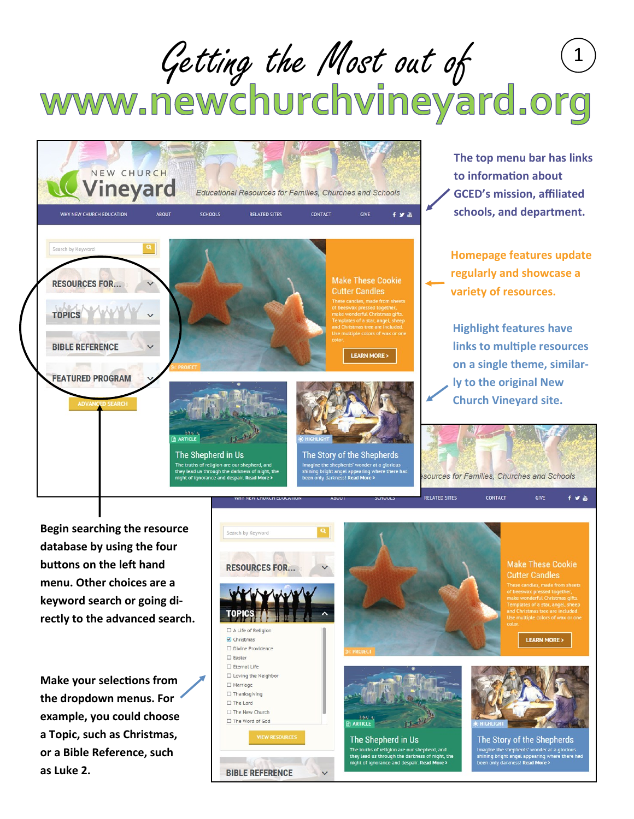## Getting the Most out of 1<br>WWW.newchurchvineyard.org



**The top menu bar has links to information about GCED's mission, affiliated schools, and department.** 

**Homepage features update regularly and showcase a variety of resources.**

**Highlight features have links to multiple resources on a single theme, similarly to the original New Church Vineyard site.**

CONTACT

GIVE

 $f \times R$ 

**Begin searching the resource database by using the four buttons on the left hand menu. Other choices are a keyword search or going directly to the advanced search.**

**Make your selections from the dropdown menus. For example, you could choose a Topic, such as Christmas, or a Bible Reference, such as Luke 2.**